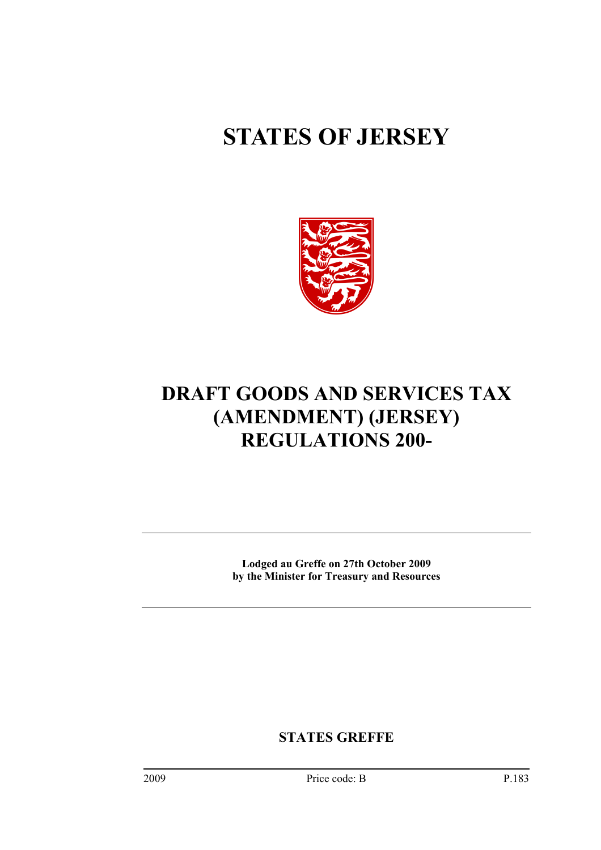# **STATES OF JERSEY**



# **DRAFT GOODS AND SERVICES TAX (AMENDMENT) (JERSEY) REGULATIONS 200-**

**Lodged au Greffe on 27th October 2009 by the Minister for Treasury and Resources** 

**STATES GREFFE**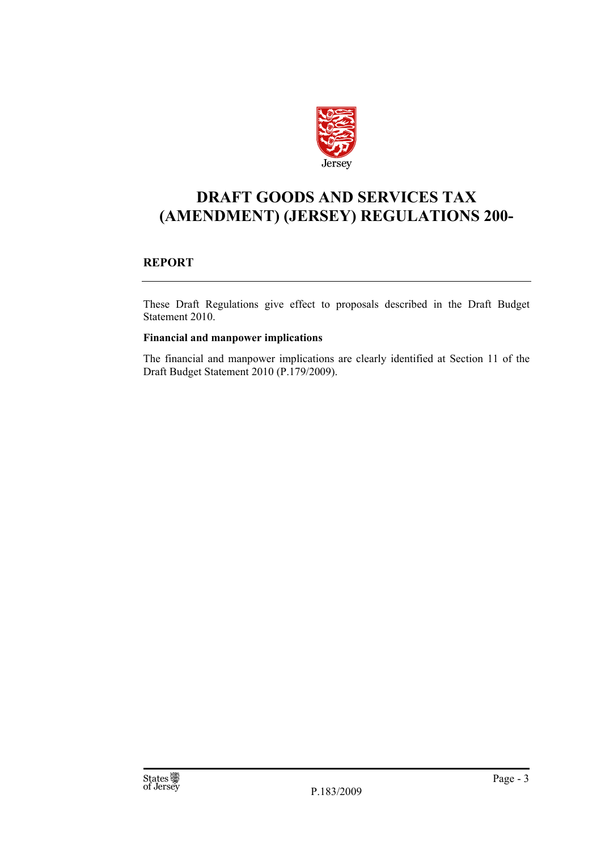

## **DRAFT GOODS AND SERVICES TAX (AMENDMENT) (JERSEY) REGULATIONS 200-**

#### **REPORT**

These Draft Regulations give effect to proposals described in the Draft Budget Statement 2010.

#### **Financial and manpower implications**

The financial and manpower implications are clearly identified at Section 11 of the Draft Budget Statement 2010 (P.179/2009).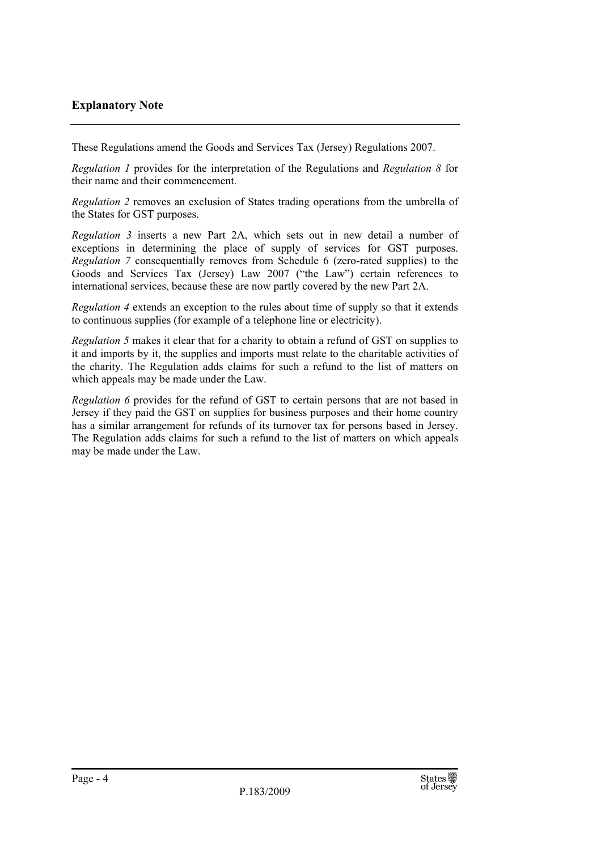#### **Explanatory Note**

These Regulations amend the Goods and Services Tax (Jersey) Regulations 2007.

*Regulation 1* provides for the interpretation of the Regulations and *Regulation 8* for their name and their commencement.

*Regulation 2* removes an exclusion of States trading operations from the umbrella of the States for GST purposes.

*Regulation 3* inserts a new Part 2A, which sets out in new detail a number of exceptions in determining the place of supply of services for GST purposes. *Regulation 7* consequentially removes from Schedule 6 (zero-rated supplies) to the Goods and Services Tax (Jersey) Law 2007 ("the Law") certain references to international services, because these are now partly covered by the new Part 2A.

*Regulation 4* extends an exception to the rules about time of supply so that it extends to continuous supplies (for example of a telephone line or electricity).

*Regulation 5* makes it clear that for a charity to obtain a refund of GST on supplies to it and imports by it, the supplies and imports must relate to the charitable activities of the charity. The Regulation adds claims for such a refund to the list of matters on which appeals may be made under the Law.

*Regulation 6* provides for the refund of GST to certain persons that are not based in Jersey if they paid the GST on supplies for business purposes and their home country has a similar arrangement for refunds of its turnover tax for persons based in Jersey. The Regulation adds claims for such a refund to the list of matters on which appeals may be made under the Law.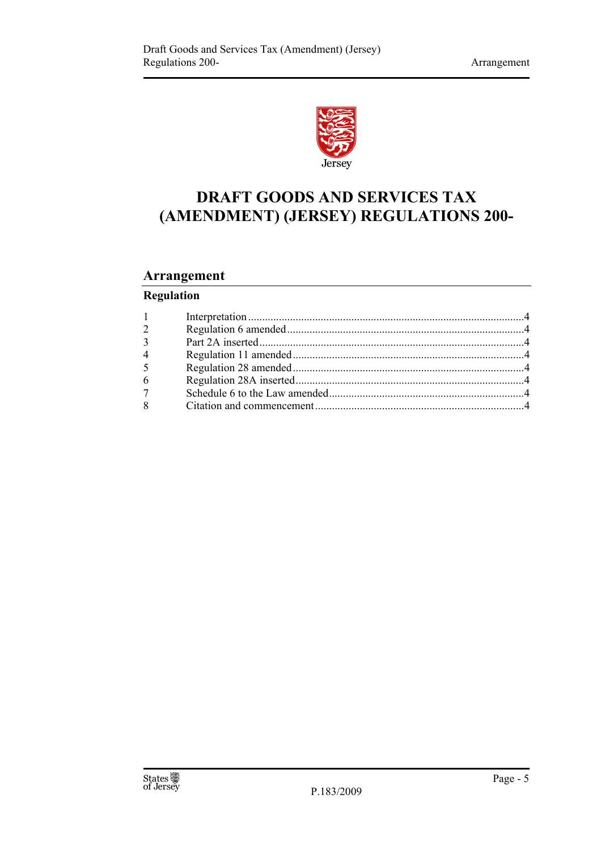

# **DRAFT GOODS AND SERVICES TAX (AMENDMENT) (JERSEY) REGULATIONS 200-**

## **Arrangement**

## **Regulation**

| $1 \qquad \qquad$ |  |
|-------------------|--|
| $\overline{2}$    |  |
| 3 <sup>1</sup>    |  |
| $\overline{4}$    |  |
| 5 <sup>5</sup>    |  |
| 6                 |  |
| 7 <sup>7</sup>    |  |
| 8                 |  |
|                   |  |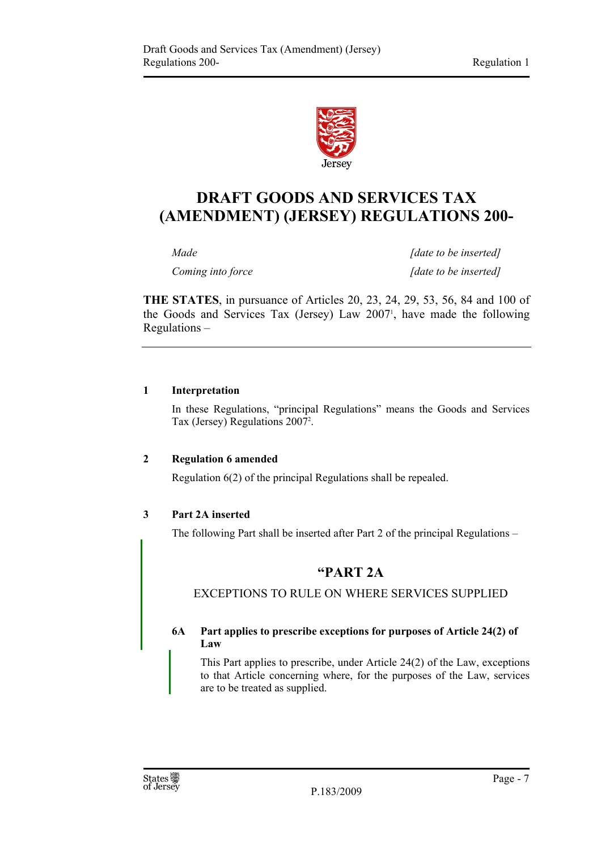

## **DRAFT GOODS AND SERVICES TAX (AMENDMENT) (JERSEY) REGULATIONS 200-**

*Made* [date to be inserted] *Coming into force* [date to be inserted]

**THE STATES**, in pursuance of Articles 20, 23, 24, 29, 53, 56, 84 and 100 of the Goods and Services Tax (Jersey) Law 20071 , have made the following Regulations –

#### **1 Interpretation**

In these Regulations, "principal Regulations" means the Goods and Services Tax (Jersey) Regulations 2007<sup>2</sup>.

#### **2 Regulation 6 amended**

Regulation 6(2) of the principal Regulations shall be repealed.

#### **3 Part 2A inserted**

The following Part shall be inserted after Part 2 of the principal Regulations –

### **"PART 2A**

EXCEPTIONS TO RULE ON WHERE SERVICES SUPPLIED

#### **6A Part applies to prescribe exceptions for purposes of Article 24(2) of Law**

This Part applies to prescribe, under Article 24(2) of the Law, exceptions to that Article concerning where, for the purposes of the Law, services are to be treated as supplied.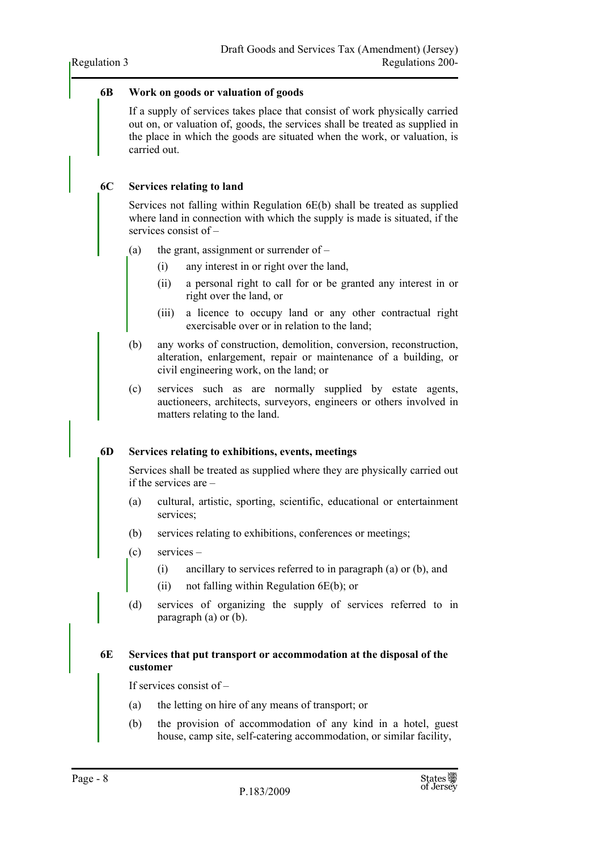#### **6B Work on goods or valuation of goods**

If a supply of services takes place that consist of work physically carried out on, or valuation of, goods, the services shall be treated as supplied in the place in which the goods are situated when the work, or valuation, is carried out.

#### **6C Services relating to land**

Services not falling within Regulation 6E(b) shall be treated as supplied where land in connection with which the supply is made is situated, if the services consist of –

- (a) the grant, assignment or surrender of  $-$ 
	- (i) any interest in or right over the land,
	- (ii) a personal right to call for or be granted any interest in or right over the land, or
	- (iii) a licence to occupy land or any other contractual right exercisable over or in relation to the land;
- (b) any works of construction, demolition, conversion, reconstruction, alteration, enlargement, repair or maintenance of a building, or civil engineering work, on the land; or
- (c) services such as are normally supplied by estate agents, auctioneers, architects, surveyors, engineers or others involved in matters relating to the land.

#### **6D Services relating to exhibitions, events, meetings**

Services shall be treated as supplied where they are physically carried out if the services are –

- (a) cultural, artistic, sporting, scientific, educational or entertainment services;
- (b) services relating to exhibitions, conferences or meetings;
- (c) services
	- (i) ancillary to services referred to in paragraph (a) or (b), and
	- (ii) not falling within Regulation 6E(b); or
- (d) services of organizing the supply of services referred to in paragraph (a) or (b).

#### **6E Services that put transport or accommodation at the disposal of the customer**

If services consist of –

- (a) the letting on hire of any means of transport; or
- (b) the provision of accommodation of any kind in a hotel, guest house, camp site, self-catering accommodation, or similar facility,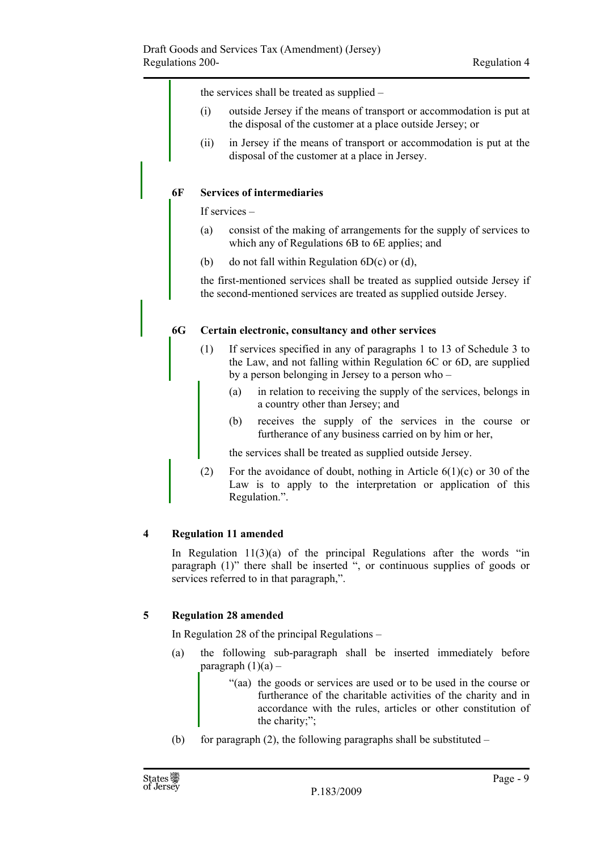the services shall be treated as supplied –

- (i) outside Jersey if the means of transport or accommodation is put at the disposal of the customer at a place outside Jersey; or
- (ii) in Jersey if the means of transport or accommodation is put at the disposal of the customer at a place in Jersey.

#### **6F Services of intermediaries**

If services –

- (a) consist of the making of arrangements for the supply of services to which any of Regulations 6B to 6E applies; and
- (b) do not fall within Regulation  $6D(c)$  or (d),

the first-mentioned services shall be treated as supplied outside Jersey if the second-mentioned services are treated as supplied outside Jersey.

#### **6G Certain electronic, consultancy and other services**

- (1) If services specified in any of paragraphs 1 to 13 of Schedule 3 to the Law, and not falling within Regulation 6C or 6D, are supplied by a person belonging in Jersey to a person who –
	- (a) in relation to receiving the supply of the services, belongs in a country other than Jersey; and
	- (b) receives the supply of the services in the course or furtherance of any business carried on by him or her,

the services shall be treated as supplied outside Jersey.

(2) For the avoidance of doubt, nothing in Article  $6(1)(c)$  or 30 of the Law is to apply to the interpretation or application of this Regulation.".

#### **4 Regulation 11 amended**

In Regulation  $11(3)(a)$  of the principal Regulations after the words "in paragraph (1)" there shall be inserted ", or continuous supplies of goods or services referred to in that paragraph,".

#### **5 Regulation 28 amended**

In Regulation 28 of the principal Regulations –

- (a) the following sub-paragraph shall be inserted immediately before paragraph  $(1)(a)$  –
	- "(aa) the goods or services are used or to be used in the course or furtherance of the charitable activities of the charity and in accordance with the rules, articles or other constitution of the charity;";
- (b) for paragraph  $(2)$ , the following paragraphs shall be substituted –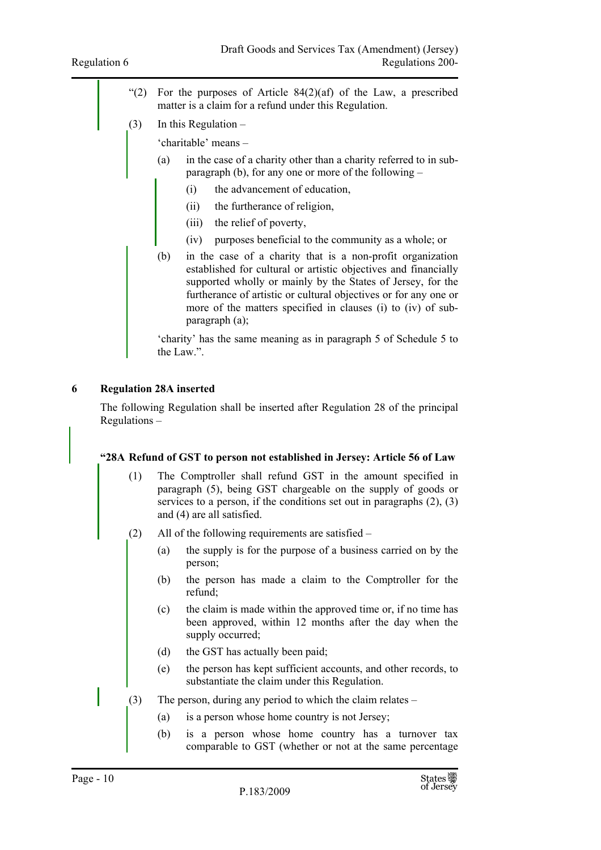- "(2) For the purposes of Article  $84(2)(af)$  of the Law, a prescribed matter is a claim for a refund under this Regulation.
- (3) In this Regulation
	- 'charitable' means –
	- (a) in the case of a charity other than a charity referred to in subparagraph (b), for any one or more of the following –
		- (i) the advancement of education,
		- (ii) the furtherance of religion,
		- (iii) the relief of poverty,
		- (iv) purposes beneficial to the community as a whole; or
	- (b) in the case of a charity that is a non-profit organization established for cultural or artistic objectives and financially supported wholly or mainly by the States of Jersey, for the furtherance of artistic or cultural objectives or for any one or more of the matters specified in clauses (i) to (iv) of subparagraph (a);

'charity' has the same meaning as in paragraph 5 of Schedule 5 to the Law.".

#### **6 Regulation 28A inserted**

The following Regulation shall be inserted after Regulation 28 of the principal Regulations –

#### **"28A Refund of GST to person not established in Jersey: Article 56 of Law**

- (1) The Comptroller shall refund GST in the amount specified in paragraph (5), being GST chargeable on the supply of goods or services to a person, if the conditions set out in paragraphs (2), (3) and (4) are all satisfied.
- (2) All of the following requirements are satisfied
	- (a) the supply is for the purpose of a business carried on by the person;
	- (b) the person has made a claim to the Comptroller for the refund;
	- (c) the claim is made within the approved time or, if no time has been approved, within 12 months after the day when the supply occurred;
	- (d) the GST has actually been paid;
	- (e) the person has kept sufficient accounts, and other records, to substantiate the claim under this Regulation.
- (3) The person, during any period to which the claim relates
	- (a) is a person whose home country is not Jersey;
	- (b) is a person whose home country has a turnover tax comparable to GST (whether or not at the same percentage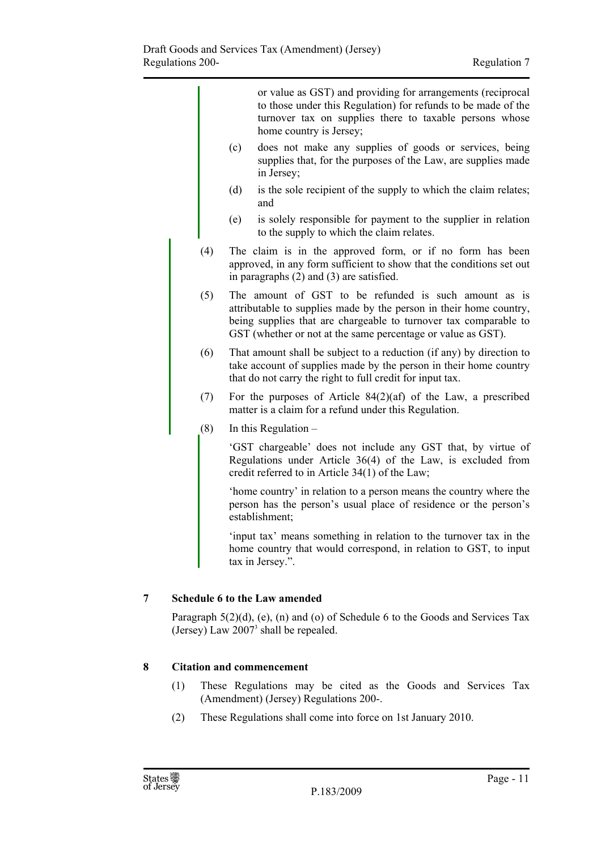|     |                                                                                                                                                                                                                                                                 | or value as GST) and providing for arrangements (reciprocal<br>to those under this Regulation) for refunds to be made of the<br>turnover tax on supplies there to taxable persons whose<br>home country is Jersey; |  |
|-----|-----------------------------------------------------------------------------------------------------------------------------------------------------------------------------------------------------------------------------------------------------------------|--------------------------------------------------------------------------------------------------------------------------------------------------------------------------------------------------------------------|--|
|     | (c)                                                                                                                                                                                                                                                             | does not make any supplies of goods or services, being<br>supplies that, for the purposes of the Law, are supplies made<br>in Jersey;                                                                              |  |
|     | (d)                                                                                                                                                                                                                                                             | is the sole recipient of the supply to which the claim relates;<br>and                                                                                                                                             |  |
|     | (e)                                                                                                                                                                                                                                                             | is solely responsible for payment to the supplier in relation<br>to the supply to which the claim relates.                                                                                                         |  |
| (4) | The claim is in the approved form, or if no form has been<br>approved, in any form sufficient to show that the conditions set out<br>in paragraphs $(2)$ and $(3)$ are satisfied.                                                                               |                                                                                                                                                                                                                    |  |
| (5) | The amount of GST to be refunded is such amount as is<br>attributable to supplies made by the person in their home country,<br>being supplies that are chargeable to turnover tax comparable to<br>GST (whether or not at the same percentage or value as GST). |                                                                                                                                                                                                                    |  |
| (6) | That amount shall be subject to a reduction (if any) by direction to<br>take account of supplies made by the person in their home country<br>that do not carry the right to full credit for input tax.                                                          |                                                                                                                                                                                                                    |  |
| (7) | For the purposes of Article $84(2)(af)$ of the Law, a prescribed<br>matter is a claim for a refund under this Regulation.                                                                                                                                       |                                                                                                                                                                                                                    |  |
| (8) |                                                                                                                                                                                                                                                                 | In this Regulation $-$                                                                                                                                                                                             |  |
|     | 'GST chargeable' does not include any GST that, by virtue of<br>Regulations under Article $36(4)$ of the Law, is excluded from<br>credit referred to in Article 34(1) of the Law;                                                                               |                                                                                                                                                                                                                    |  |
|     |                                                                                                                                                                                                                                                                 | 'home country' in relation to a person means the country where the<br>person has the person's usual place of residence or the person's<br>establishment;                                                           |  |
|     |                                                                                                                                                                                                                                                                 | 'input tax' means something in relation to the turnover tax in the<br>home country that would correspond, in relation to GST, to input<br>tax in Jersey.".                                                         |  |

#### **7 Schedule 6 to the Law amended**

Paragraph 5(2)(d), (e), (n) and (o) of Schedule 6 to the Goods and Services Tax (Jersey) Law 20073 shall be repealed.

#### **8 Citation and commencement**

- (1) These Regulations may be cited as the Goods and Services Tax (Amendment) (Jersey) Regulations 200-.
- (2) These Regulations shall come into force on 1st January 2010.